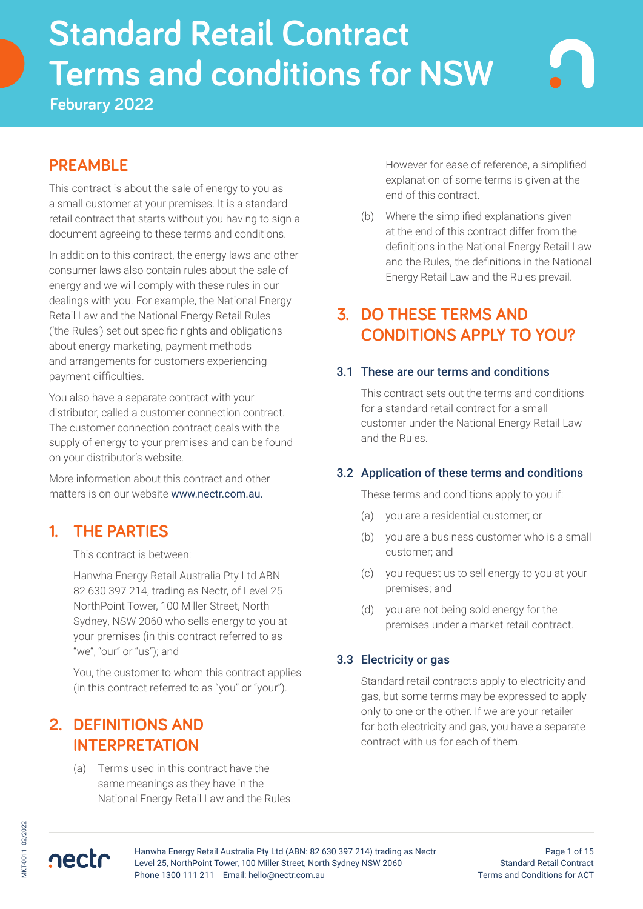# **Standard Retail Contract Terms and conditions for NSW**<br>Feburary 2022 **Standard Retail Contract Terms and conditions for NSW**

**Feburary 2022**

# **PREAMBLE**

This contract is about the sale of energy to you as a small customer at your premises. It is a standard retail contract that starts without you having to sign a document agreeing to these terms and conditions.

In addition to this contract, the energy laws and other consumer laws also contain rules about the sale of energy and we will comply with these rules in our dealings with you. For example, the National Energy Retail Law and the National Energy Retail Rules ('the Rules') set out specific rights and obligations about energy marketing, payment methods and arrangements for customers experiencing payment difficulties.

You also have a separate contract with your distributor, called a customer connection contract. The customer connection contract deals with the supply of energy to your premises and can be found on your distributor's website.

More information about this contract and other matters is on our website www.nectr.com.au.

## **1. THE PARTIES**

This contract is between:

Hanwha Energy Retail Australia Pty Ltd ABN 82 630 397 214, trading as Nectr, of Level 25 NorthPoint Tower, 100 Miller Street, North Sydney, NSW 2060 who sells energy to you at your premises (in this contract referred to as "we", "our" or "us"); and

You, the customer to whom this contract applies (in this contract referred to as "you" or "your").

# **2. DEFINITIONS AND INTERPRETATION**

(a) Terms used in this contract have the same meanings as they have in the National Energy Retail Law and the Rules. However for ease of reference, a simplified explanation of some terms is given at the end of this contract.

(b) Where the simplified explanations given at the end of this contract differ from the definitions in the National Energy Retail Law and the Rules, the definitions in the National Energy Retail Law and the Rules prevail.

# **3. DO THESE TERMS AND CONDITIONS APPLY TO YOU?**

### 3.1 These are our terms and conditions

This contract sets out the terms and conditions for a standard retail contract for a small customer under the National Energy Retail Law and the Rules.

## 3.2 Application of these terms and conditions

These terms and conditions apply to you if:

- (a) you are a residential customer; or
- (b) you are a business customer who is a small customer; and
- (c) you request us to sell energy to you at your premises; and
- (d) you are not being sold energy for the premises under a market retail contract.

## 3.3 Electricity or gas

Standard retail contracts apply to electricity and gas, but some terms may be expressed to apply only to one or the other. If we are your retailer for both electricity and gas, you have a separate contract with us for each of them.

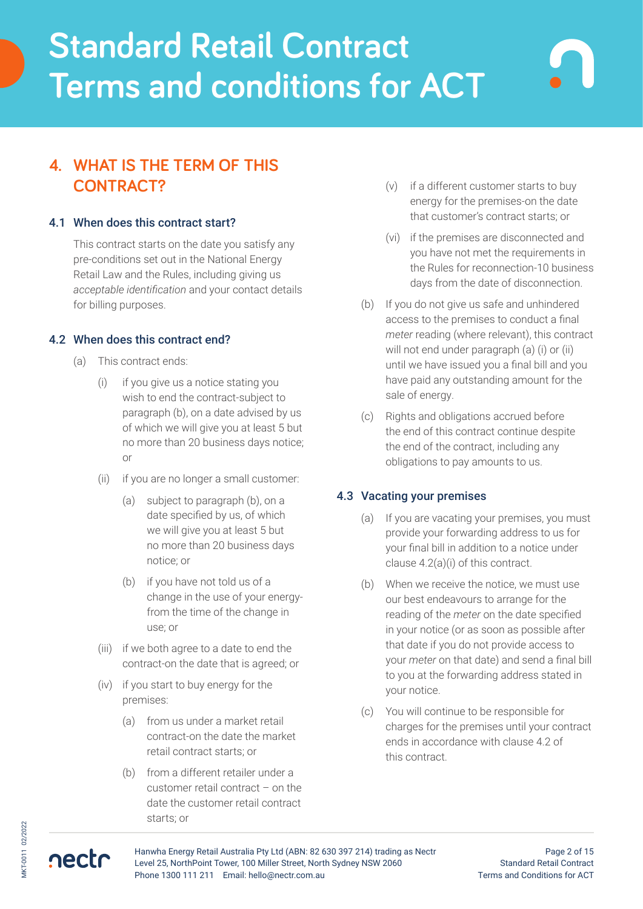# **4. WHAT IS THE TERM OF THIS CONTRACT?**

#### 4.1 When does this contract start?

This contract starts on the date you satisfy any pre-conditions set out in the National Energy Retail Law and the Rules, including giving us *acceptable identification* and your contact details for billing purposes.

#### 4.2 When does this contract end?

- (a) This contract ends:
	- (i) if you give us a notice stating you wish to end the contract-subject to paragraph (b), on a date advised by us of which we will give you at least 5 but no more than 20 business days notice; or
	- (ii) if you are no longer a small customer:
		- (a) subject to paragraph (b), on a date specified by us, of which we will give you at least 5 but no more than 20 business days notice; or
		- (b) if you have not told us of a change in the use of your energyfrom the time of the change in use; or
	- (iii) if we both agree to a date to end the contract-on the date that is agreed; or
	- (iv) if you start to buy energy for the premises:
		- (a) from us under a market retail contract-on the date the market retail contract starts; or
		- (b) from a different retailer under a customer retail contract – on the date the customer retail contract starts; or
- (v) if a different customer starts to buy energy for the premises-on the date that customer's contract starts; or
- (vi) if the premises are disconnected and you have not met the requirements in the Rules for reconnection-10 business days from the date of disconnection.
- (b) If you do not give us safe and unhindered access to the premises to conduct a final *meter* reading (where relevant), this contract will not end under paragraph (a) (i) or (ii) until we have issued you a final bill and you have paid any outstanding amount for the sale of energy.
- (c) Rights and obligations accrued before the end of this contract continue despite the end of the contract, including any obligations to pay amounts to us.

#### 4.3 Vacating your premises

- (a) If you are vacating your premises, you must provide your forwarding address to us for your final bill in addition to a notice under clause 4.2(a)(i) of this contract.
- (b) When we receive the notice, we must use our best endeavours to arrange for the reading of the *meter* on the date specified in your notice (or as soon as possible after that date if you do not provide access to your *meter* on that date) and send a final bill to you at the forwarding address stated in your notice.
- (c) You will continue to be responsible for charges for the premises until your contract ends in accordance with clause 4.2 of this contract.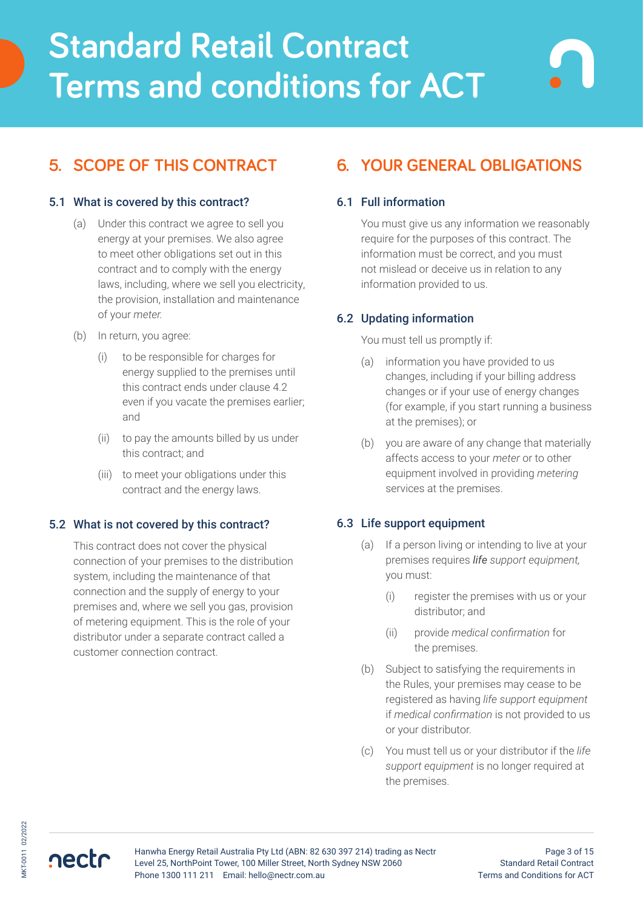# **5. SCOPE OF THIS CONTRACT**

### 5.1 What is covered by this contract?

- (a) Under this contract we agree to sell you energy at your premises. We also agree to meet other obligations set out in this contract and to comply with the energy laws, including, where we sell you electricity, the provision, installation and maintenance of your *meter.*
- (b) In return, you agree:
	- (i) to be responsible for charges for energy supplied to the premises until this contract ends under clause 4.2 even if you vacate the premises earlier; and
	- (ii) to pay the amounts billed by us under this contract; and
	- (iii) to meet your obligations under this contract and the energy laws.

#### 5.2 What is not covered by this contract?

This contract does not cover the physical connection of your premises to the distribution system, including the maintenance of that connection and the supply of energy to your premises and, where we sell you gas, provision of metering equipment. This is the role of your distributor under a separate contract called a customer connection contract.

# **6. YOUR GENERAL OBLIGATIONS**

### 6.1 Full information

You must give us any information we reasonably require for the purposes of this contract. The information must be correct, and you must not mislead or deceive us in relation to any information provided to us.

## 6.2 Updating information

#### You must tell us promptly if:

- (a) information you have provided to us changes, including if your billing address changes or if your use of energy changes (for example, if you start running a business at the premises); or
- (b) you are aware of any change that materially affects access to your *meter* or to other equipment involved in providing *metering* services at the premises.

## 6.3 Life support equipment

- (a) If a person living or intending to live at your premises requires *life support equipment,* you must:
	- (i) register the premises with us or your distributor; and
	- (ii) provide *medical confirmation* for the premises.
- (b) Subject to satisfying the requirements in the Rules, your premises may cease to be registered as having *life support equipment*  if *medical confirmation* is not provided to us or your distributor.
- (c) You must tell us or your distributor if the *life support equipment* is no longer required at the premises.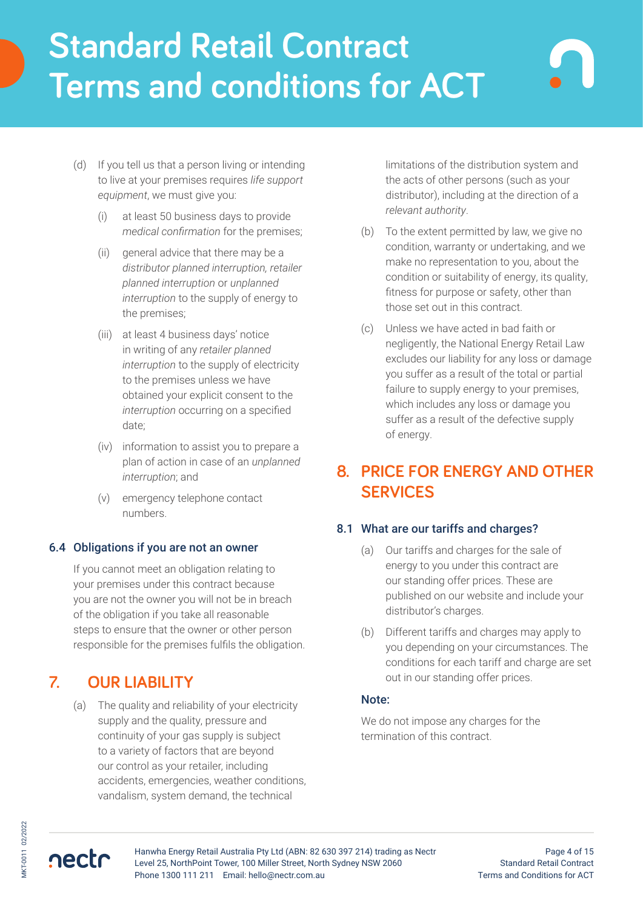- (d) If you tell us that a person living or intending to live at your premises requires *life support equipment*, we must give you:
	- (i) at least 50 business days to provide *medical confirmation* for the premises;
	- (ii) general advice that there may be a *distributor planned interruption, retailer planned interruption* or *unplanned interruption* to the supply of energy to the premises;
	- (iii) at least 4 business days' notice in writing of any *retailer planned interruption* to the supply of electricity to the premises unless we have obtained your explicit consent to the *interruption* occurring on a specified date;
	- (iv) information to assist you to prepare a plan of action in case of an *unplanned interruption*; and
	- (v) emergency telephone contact numbers.

#### 6.4 Obligations if you are not an owner

If you cannot meet an obligation relating to your premises under this contract because you are not the owner you will not be in breach of the obligation if you take all reasonable steps to ensure that the owner or other person responsible for the premises fulfils the obligation.

## **7. OUR LIABILITY**

(a) The quality and reliability of your electricity supply and the quality, pressure and continuity of your gas supply is subject to a variety of factors that are beyond our control as your retailer, including accidents, emergencies, weather conditions, vandalism, system demand, the technical

limitations of the distribution system and the acts of other persons (such as your distributor), including at the direction of a *relevant authority*.

- (b) To the extent permitted by law, we give no condition, warranty or undertaking, and we make no representation to you, about the condition or suitability of energy, its quality, fitness for purpose or safety, other than those set out in this contract.
- (c) Unless we have acted in bad faith or negligently, the National Energy Retail Law excludes our liability for any loss or damage you suffer as a result of the total or partial failure to supply energy to your premises, which includes any loss or damage you suffer as a result of the defective supply of energy.

# **8. PRICE FOR ENERGY AND OTHER SERVICES**

#### 8.1 What are our tariffs and charges?

- (a) Our tariffs and charges for the sale of energy to you under this contract are our standing offer prices. These are published on our website and include your distributor's charges.
- (b) Different tariffs and charges may apply to you depending on your circumstances. The conditions for each tariff and charge are set out in our standing offer prices.

#### Note:

We do not impose any charges for the termination of this contract.

nectr



Page 4 of 15 Standard Retail Contract Terms and Conditions for ACT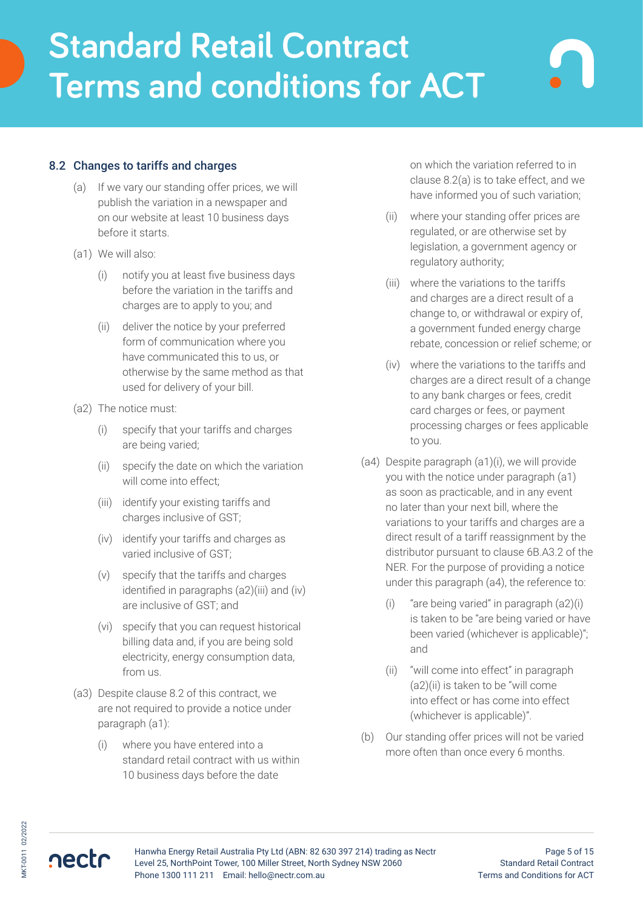### 8.2 Changes to tariffs and charges

- (a) If we vary our standing offer prices, we will publish the variation in a newspaper and on our website at least 10 business days before it starts.
- (a1) We will also:
	- (i) notify you at least five business days before the variation in the tariffs and charges are to apply to you; and
	- (ii) deliver the notice by your preferred form of communication where you have communicated this to us, or otherwise by the same method as that used for delivery of your bill.
- (a2) The notice must:
	- (i) specify that your tariffs and charges are being varied;
	- (ii) specify the date on which the variation will come into effect;
	- (iii) identify your existing tariffs and charges inclusive of GST;
	- (iv) identify your tariffs and charges as varied inclusive of GST;
	- (v) specify that the tariffs and charges identified in paragraphs (a2)(iii) and (iv) are inclusive of GST; and
	- (vi) specify that you can request historical billing data and, if you are being sold electricity, energy consumption data, from us.
- (a3) Despite clause 8.2 of this contract, we are not required to provide a notice under paragraph (a1):
	- (i) where you have entered into a standard retail contract with us within 10 business days before the date

on which the variation referred to in clause 8.2(a) is to take effect, and we have informed you of such variation;

- (ii) where your standing offer prices are regulated, or are otherwise set by legislation, a government agency or regulatory authority;
- (iii) where the variations to the tariffs and charges are a direct result of a change to, or withdrawal or expiry of, a government funded energy charge rebate, concession or relief scheme; or
- (iv) where the variations to the tariffs and charges are a direct result of a change to any bank charges or fees, credit card charges or fees, or payment processing charges or fees applicable to you.
- (a4) Despite paragraph (a1)(i), we will provide you with the notice under paragraph (a1) as soon as practicable, and in any event no later than your next bill, where the variations to your tariffs and charges are a direct result of a tariff reassignment by the distributor pursuant to clause 6B.A3.2 of the NER. For the purpose of providing a notice under this paragraph (a4), the reference to:
	- (i) "are being varied" in paragraph (a2)(i) is taken to be "are being varied or have been varied (whichever is applicable)"; and
	- (ii) "will come into effect" in paragraph (a2)(ii) is taken to be "will come into effect or has come into effect (whichever is applicable)".
- (b) Our standing offer prices will not be varied more often than once every 6 months.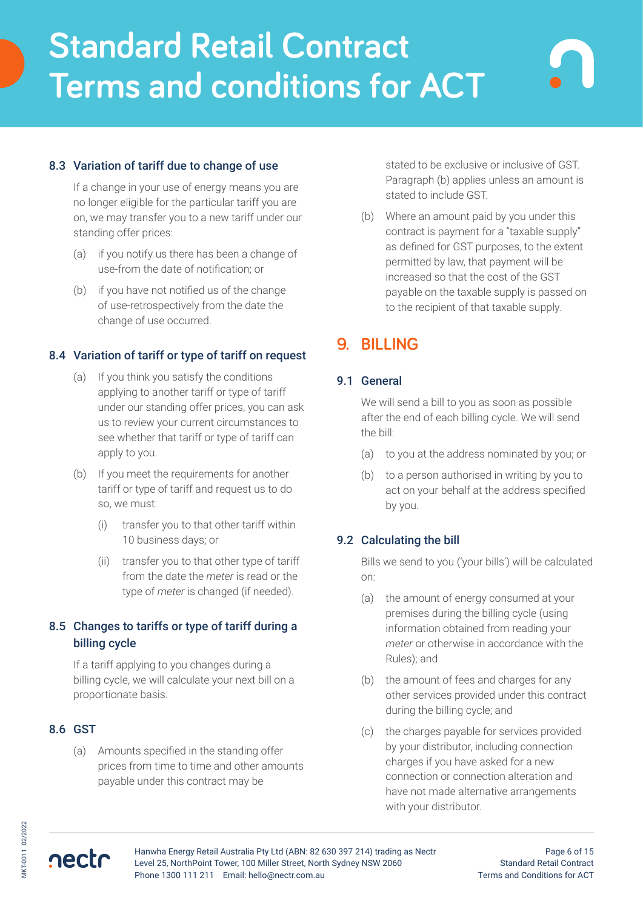## 8.3 Variation of tariff due to change of use

If a change in your use of energy means you are no longer eligible for the particular tariff you are on, we may transfer you to a new tariff under our standing offer prices:

- (a) if you notify us there has been a change of use-from the date of notification; or
- (b) if you have not notified us of the change of use-retrospectively from the date the change of use occurred.

## 8.4 Variation of tariff or type of tariff on request

- (a) If you think you satisfy the conditions applying to another tariff or type of tariff under our standing offer prices, you can ask us to review your current circumstances to see whether that tariff or type of tariff can apply to you.
- (b) If you meet the requirements for another tariff or type of tariff and request us to do so, we must:
	- (i) transfer you to that other tariff within 10 business days; or
	- (ii) transfer you to that other type of tariff from the date the *meter* is read or the type of *meter* is changed (if needed).

## 8.5 Changes to tariffs or type of tariff during a billing cycle

If a tariff applying to you changes during a billing cycle, we will calculate your next bill on a proportionate basis.

#### 8.6 GST

(a) Amounts specified in the standing offer prices from time to time and other amounts payable under this contract may be

stated to be exclusive or inclusive of GST. Paragraph (b) applies unless an amount is stated to include GST.

(b) Where an amount paid by you under this contract is payment for a "taxable supply" as defined for GST purposes, to the extent permitted by law, that payment will be increased so that the cost of the GST payable on the taxable supply is passed on to the recipient of that taxable supply.

# **9. BILLING**

#### 9.1 General

We will send a bill to you as soon as possible after the end of each billing cycle. We will send the bill:

- (a) to you at the address nominated by you; or
- (b) to a person authorised in writing by you to act on your behalf at the address specified by you.

#### 9.2 Calculating the bill

Bills we send to you ('your bills') will be calculated on:

- (a) the amount of energy consumed at your premises during the billing cycle (using information obtained from reading your *meter* or otherwise in accordance with the Rules); and
- (b) the amount of fees and charges for any other services provided under this contract during the billing cycle; and
- (c) the charges payable for services provided by your distributor, including connection charges if you have asked for a new connection or connection alteration and have not made alternative arrangements with your distributor.

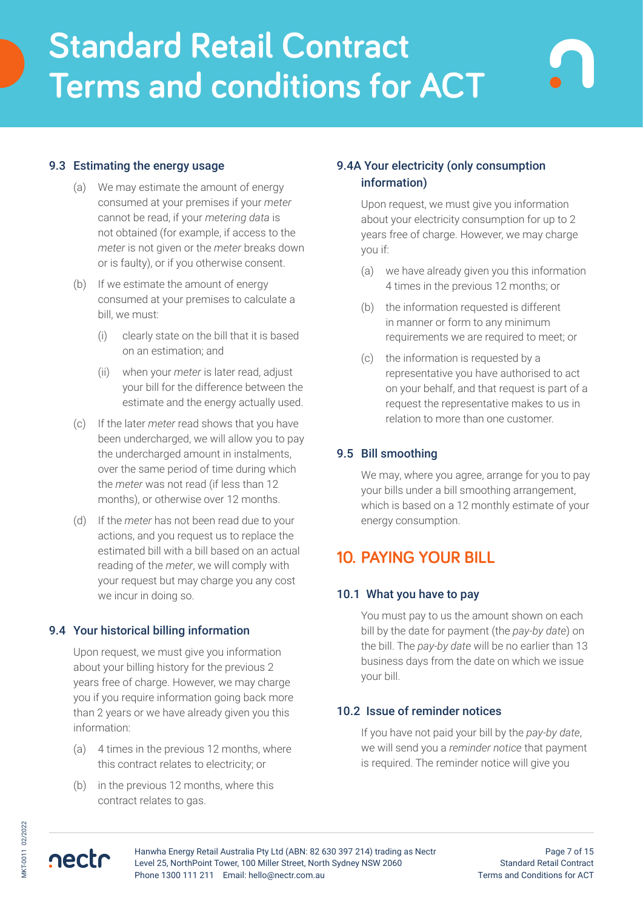### 9.3 Estimating the energy usage

- (a) We may estimate the amount of energy consumed at your premises if your *meter* cannot be read, if your *metering data* is not obtained (for example, if access to the *meter* is not given or the *meter* breaks down or is faulty), or if you otherwise consent.
- (b) If we estimate the amount of energy consumed at your premises to calculate a bill, we must:
	- (i) clearly state on the bill that it is based on an estimation; and
	- (ii) when your *meter* is later read, adjust your bill for the difference between the estimate and the energy actually used.
- (c) If the later *meter* read shows that you have been undercharged, we will allow you to pay the undercharged amount in instalments, over the same period of time during which the *meter* was not read (if less than 12 months), or otherwise over 12 months.
- (d) If the *meter* has not been read due to your actions, and you request us to replace the estimated bill with a bill based on an actual reading of the *meter*, we will comply with your request but may charge you any cost we incur in doing so.

#### 9.4 Your historical billing information

Upon request, we must give you information about your billing history for the previous 2 years free of charge. However, we may charge you if you require information going back more than 2 years or we have already given you this information:

- (a) 4 times in the previous 12 months, where this contract relates to electricity; or
- (b) in the previous 12 months, where this contract relates to gas.

## 9.4A Your electricity (only consumption information)

Upon request, we must give you information about your electricity consumption for up to 2 years free of charge. However, we may charge you if:

- (a) we have already given you this information 4 times in the previous 12 months; or
- (b) the information requested is different in manner or form to any minimum requirements we are required to meet; or
- (c) the information is requested by a representative you have authorised to act on your behalf, and that request is part of a request the representative makes to us in relation to more than one customer.

### 9.5 Bill smoothing

We may, where you agree, arrange for you to pay your bills under a bill smoothing arrangement, which is based on a 12 monthly estimate of your energy consumption.

# **10. PAYING YOUR BILL**

#### 10.1 What you have to pay

You must pay to us the amount shown on each bill by the date for payment (the *pay-by date*) on the bill. The *pay-by date* will be no earlier than 13 business days from the date on which we issue your bill.

#### 10.2 Issue of reminder notices

If you have not paid your bill by the *pay-by date*, we will send you a *reminder notice* that payment is required. The reminder notice will give you

MKT-0011 02/2022

AKT-0011 02/2022

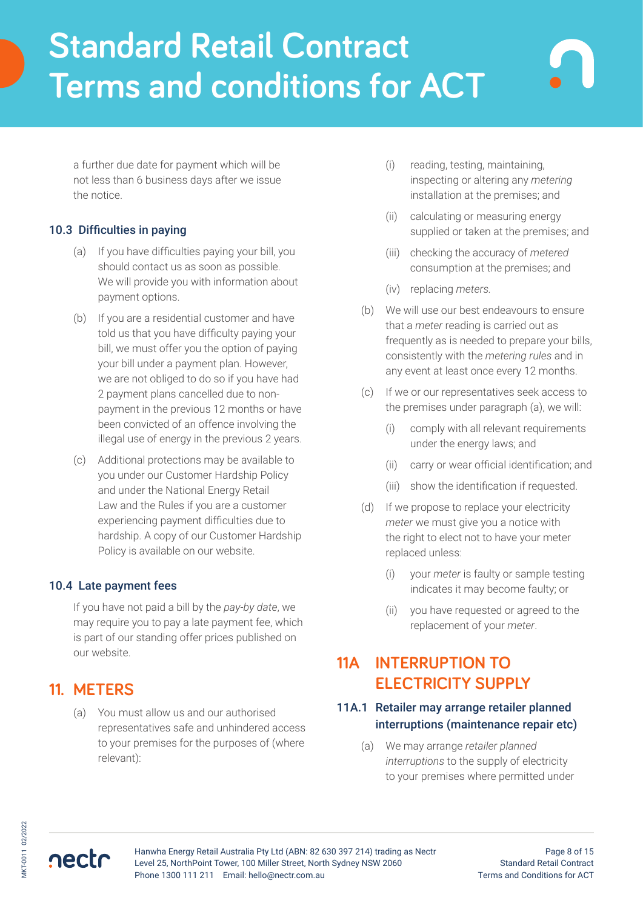a further due date for payment which will be not less than 6 business days after we issue the notice.

## 10.3 Difficulties in paying

- (a) If you have difficulties paying your bill, you should contact us as soon as possible. We will provide you with information about payment options.
- (b) If you are a residential customer and have told us that you have difficulty paying your bill, we must offer you the option of paying your bill under a payment plan. However, we are not obliged to do so if you have had 2 payment plans cancelled due to nonpayment in the previous 12 months or have been convicted of an offence involving the illegal use of energy in the previous 2 years.
- (c) Additional protections may be available to you under our Customer Hardship Policy and under the National Energy Retail Law and the Rules if you are a customer experiencing payment difficulties due to hardship. A copy of our Customer Hardship Policy is available on our website.

## 10.4 Late payment fees

If you have not paid a bill by the *pay-by date*, we may require you to pay a late payment fee, which is part of our standing offer prices published on our website.

# **11. METERS**

nectr

(a) You must allow us and our authorised representatives safe and unhindered access to your premises for the purposes of (where relevant):

- (i) reading, testing, maintaining, inspecting or altering any *metering* installation at the premises; and
- (ii) calculating or measuring energy supplied or taken at the premises; and
- (iii) checking the accuracy of *metered* consumption at the premises; and
- (iv) replacing *meters.*
- (b) We will use our best endeavours to ensure that a *meter* reading is carried out as frequently as is needed to prepare your bills, consistently with the *metering rules* and in any event at least once every 12 months.
- (c) If we or our representatives seek access to the premises under paragraph (a), we will:
	- (i) comply with all relevant requirements under the energy laws; and
	- (ii) carry or wear official identification; and
	- (iii) show the identification if requested.
- (d) If we propose to replace your electricity *meter* we must give you a notice with the right to elect not to have your meter replaced unless:
	- (i) your *meter* is faulty or sample testing indicates it may become faulty; or
	- (ii) you have requested or agreed to the replacement of your *meter*.

# **11A INTERRUPTION TO ELECTRICITY SUPPLY**

## 11A.1 Retailer may arrange retailer planned interruptions (maintenance repair etc)

(a) We may arrange *retailer planned interruptions* to the supply of electricity to your premises where permitted under

Hanwha Energy Retail Australia Pty Ltd (ABN: 82 630 397 214) trading as Nectr Level 25, NorthPoint Tower, 100 Miller Street, North Sydney NSW 2060 Phone 1300 111 211 Email: hello@nectr.com.au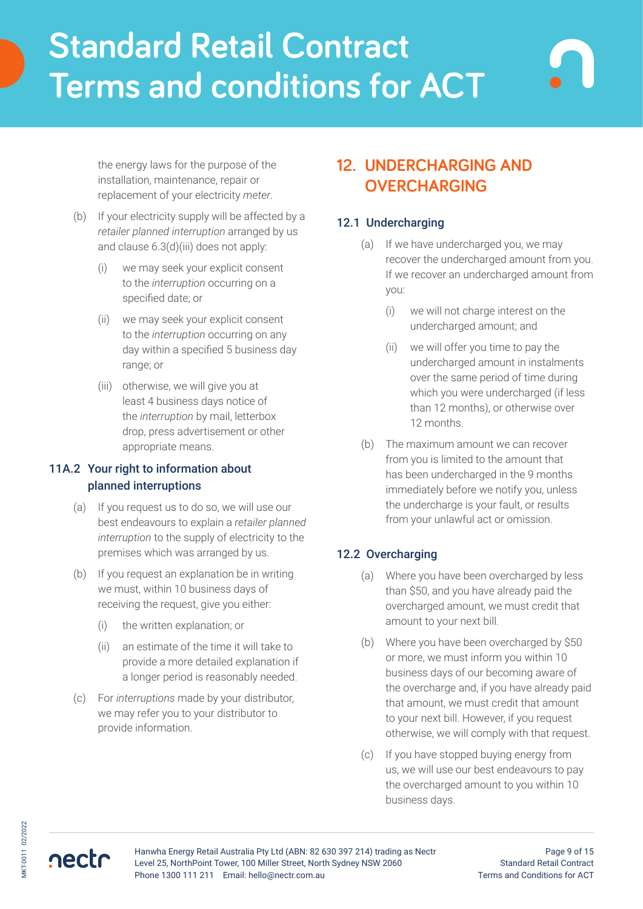the energy laws for the purpose of the installation, maintenance, repair or replacement of your electricity *meter*.

- (b) If your electricity supply will be affected by a *retailer planned interruption* arranged by us and clause 6.3(d)(iii) does not apply:
	- (i) we may seek your explicit consent to the *interruption* occurring on a specified date; or
	- (ii) we may seek your explicit consent to the *interruption* occurring on any day within a specified 5 business day range; or
	- (iii) otherwise, we will give you at least 4 business days notice of the *interruption* by mail, letterbox drop, press advertisement or other appropriate means.

## 11A.2 Your right to information about planned interruptions

- (a) If you request us to do so, we will use our best endeavours to explain a *retailer planned interruption* to the supply of electricity to the premises which was arranged by us.
- (b) If you request an explanation be in writing we must, within 10 business days of receiving the request, give you either:
	- (i) the written explanation; or
	- (ii) an estimate of the time it will take to provide a more detailed explanation if a longer period is reasonably needed.
- (c) For *interruptions* made by your distributor, we may refer you to your distributor to provide information.

# **12. UNDERCHARGING AND OVERCHARGING**

### 12.1 Undercharging

- (a) If we have undercharged you, we may recover the undercharged amount from you. If we recover an undercharged amount from you:
	- (i) we will not charge interest on the undercharged amount; and
	- (ii) we will offer you time to pay the undercharged amount in instalments over the same period of time during which you were undercharged (if less than 12 months), or otherwise over 12 months.
- (b) The maximum amount we can recover from you is limited to the amount that has been undercharged in the 9 months immediately before we notify you, unless the undercharge is your fault, or results from your unlawful act or omission.

## 12.2 Overcharging

- (a) Where you have been overcharged by less than \$50, and you have already paid the overcharged amount, we must credit that amount to your next bill.
- (b) Where you have been overcharged by \$50 or more, we must inform you within 10 business days of our becoming aware of the overcharge and, if you have already paid that amount, we must credit that amount to your next bill. However, if you request otherwise, we will comply with that request.
- (c) If you have stopped buying energy from us, we will use our best endeavours to pay the overcharged amount to you within 10 business days.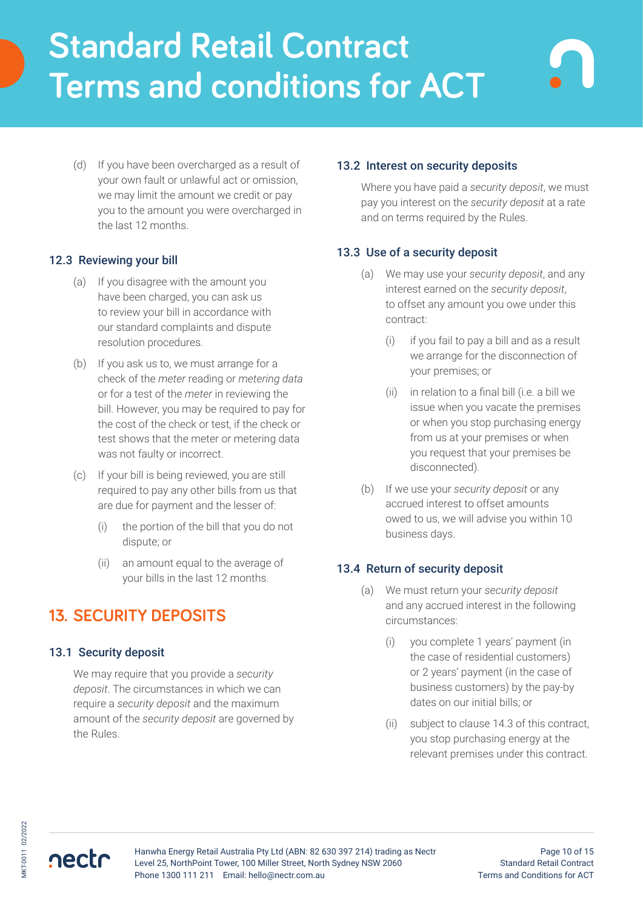(d) If you have been overcharged as a result of your own fault or unlawful act or omission, we may limit the amount we credit or pay you to the amount you were overcharged in the last 12 months.

### 12.3 Reviewing your bill

- (a) If you disagree with the amount you have been charged, you can ask us to review your bill in accordance with our standard complaints and dispute resolution procedures.
- (b) If you ask us to, we must arrange for a check of the *meter* reading or *metering data* or for a test of the *meter* in reviewing the bill. However, you may be required to pay for the cost of the check or test, if the check or test shows that the meter or metering data was not faulty or incorrect.
- (c) If your bill is being reviewed, you are still required to pay any other bills from us that are due for payment and the lesser of:
	- (i) the portion of the bill that you do not dispute; or
	- (ii) an amount equal to the average of your bills in the last 12 months.

# **13. SECURITY DEPOSITS**

## 13.1 Security deposit

We may require that you provide a *security deposit*. The circumstances in which we can require a *security deposit* and the maximum amount of the *security deposit* are governed by the Rules.

### 13.2 Interest on security deposits

Where you have paid a *security deposit*, we must pay you interest on the *security deposit* at a rate and on terms required by the Rules.

### 13.3 Use of a security deposit

- (a) We may use your *security deposit*, and any interest earned on the *security deposit*, to offset any amount you owe under this contract:
	- (i) if you fail to pay a bill and as a result we arrange for the disconnection of your premises; or
	- (ii) in relation to a final bill (i.e. a bill we issue when you vacate the premises or when you stop purchasing energy from us at your premises or when you request that your premises be disconnected).
- (b) If we use your *security deposit* or any accrued interest to offset amounts owed to us, we will advise you within 10 business days.

#### 13.4 Return of security deposit

- (a) We must return your *security deposit* and any accrued interest in the following circumstances:
	- (i) you complete 1 years' payment (in the case of residential customers) or 2 years' payment (in the case of business customers) by the pay-by dates on our initial bills; or
	- (ii) subject to clause 14.3 of this contract, you stop purchasing energy at the relevant premises under this contract.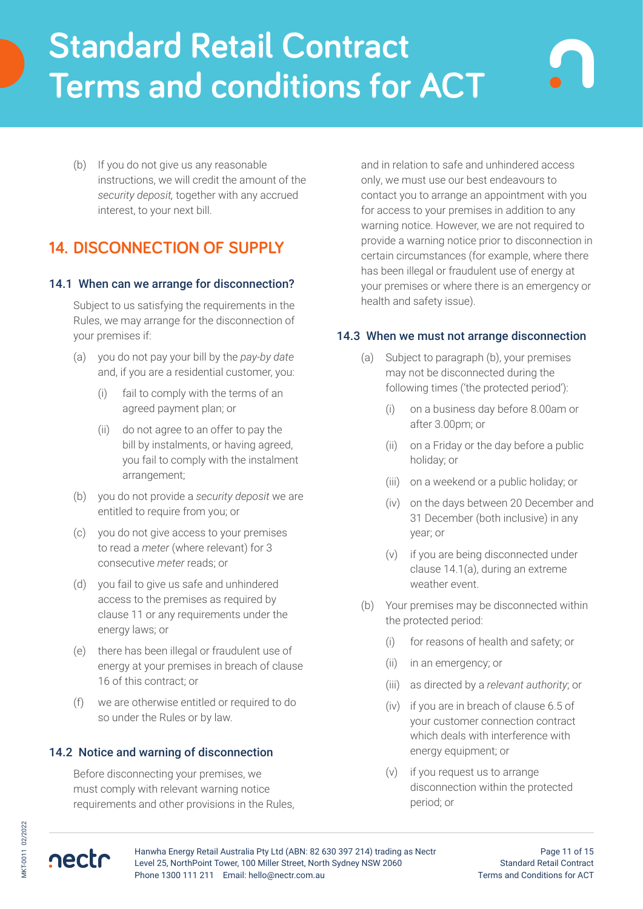(b) If you do not give us any reasonable instructions, we will credit the amount of the *security deposit,* together with any accrued interest, to your next bill.

# **14. DISCONNECTION OF SUPPLY**

### 14.1 When can we arrange for disconnection?

Subject to us satisfying the requirements in the Rules, we may arrange for the disconnection of your premises if:

- (a) you do not pay your bill by the *pay-by date* and, if you are a residential customer, you:
	- (i) fail to comply with the terms of an agreed payment plan; or
	- (ii) do not agree to an offer to pay the bill by instalments, or having agreed, you fail to comply with the instalment arrangement;
- (b) you do not provide a *security deposit* we are entitled to require from you; or
- (c) you do not give access to your premises to read a *meter* (where relevant) for 3 consecutive *meter* reads; or
- (d) you fail to give us safe and unhindered access to the premises as required by clause 11 or any requirements under the energy laws; or
- (e) there has been illegal or fraudulent use of energy at your premises in breach of clause 16 of this contract; or
- (f) we are otherwise entitled or required to do so under the Rules or by law.

## 14.2 Notice and warning of disconnection

Before disconnecting your premises, we must comply with relevant warning notice requirements and other provisions in the Rules,

and in relation to safe and unhindered access only, we must use our best endeavours to contact you to arrange an appointment with you for access to your premises in addition to any warning notice. However, we are not required to provide a warning notice prior to disconnection in certain circumstances (for example, where there has been illegal or fraudulent use of energy at your premises or where there is an emergency or health and safety issue).

### 14.3 When we must not arrange disconnection

- (a) Subject to paragraph (b), your premises may not be disconnected during the following times ('the protected period'):
	- (i) on a business day before 8.00am or after 3.00pm; or
	- (ii) on a Friday or the day before a public holiday; or
	- (iii) on a weekend or a public holiday; or
	- (iv) on the days between 20 December and 31 December (both inclusive) in any year; or
	- (v) if you are being disconnected under clause 14.1(a), during an extreme weather event.
- (b) Your premises may be disconnected within the protected period:
	- (i) for reasons of health and safety; or
	- (ii) in an emergency; or
	- (iii) as directed by a *relevant authority*; or
	- (iv) if you are in breach of clause 6.5 of your customer connection contract which deals with interference with energy equipment; or
	- (v) if you request us to arrange disconnection within the protected period; or



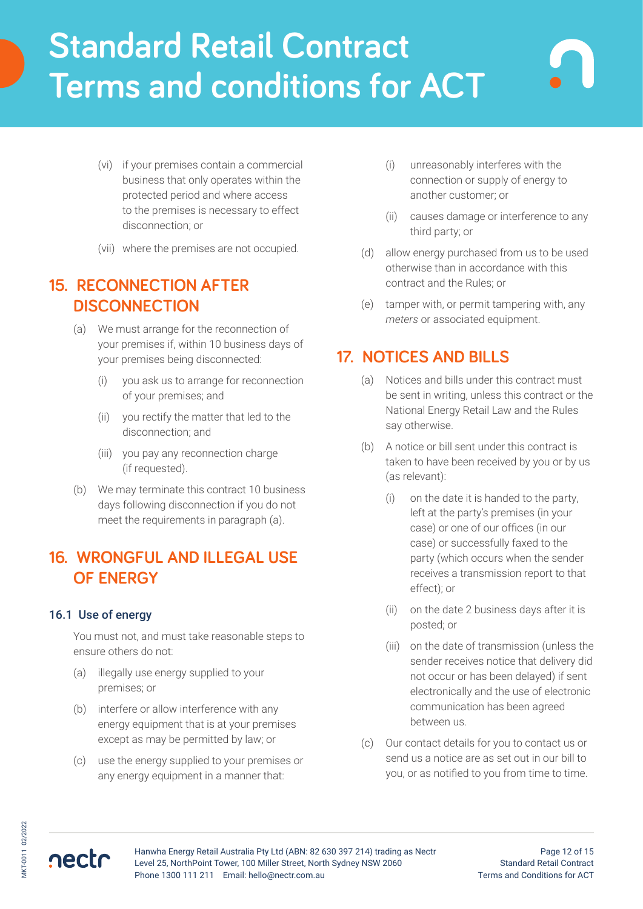- (vi) if your premises contain a commercial business that only operates within the protected period and where access to the premises is necessary to effect disconnection; or
- (vii) where the premises are not occupied.

## **15. RECONNECTION AFTER DISCONNECTION**

- (a) We must arrange for the reconnection of your premises if, within 10 business days of your premises being disconnected:
	- (i) you ask us to arrange for reconnection of your premises; and
	- (ii) you rectify the matter that led to the disconnection; and
	- (iii) you pay any reconnection charge (if requested).
- (b) We may terminate this contract 10 business days following disconnection if you do not meet the requirements in paragraph (a).

## **16. WRONGFUL AND ILLEGAL USE OF ENERGY**

## 16.1 Use of energy

You must not, and must take reasonable steps to ensure others do not:

- (a) illegally use energy supplied to your premises; or
- (b) interfere or allow interference with any energy equipment that is at your premises except as may be permitted by law; or
- (c) use the energy supplied to your premises or any energy equipment in a manner that:
- (i) unreasonably interferes with the connection or supply of energy to another customer; or
- (ii) causes damage or interference to any third party; or
- (d) allow energy purchased from us to be used otherwise than in accordance with this contract and the Rules; or
- (e) tamper with, or permit tampering with, any *meters* or associated equipment.

# **17. NOTICES AND BILLS**

- (a) Notices and bills under this contract must be sent in writing, unless this contract or the National Energy Retail Law and the Rules say otherwise.
- (b) A notice or bill sent under this contract is taken to have been received by you or by us (as relevant):
	- (i) on the date it is handed to the party, left at the party's premises (in your case) or one of our offices (in our case) or successfully faxed to the party (which occurs when the sender receives a transmission report to that effect); or
	- (ii) on the date 2 business days after it is posted; or
	- (iii) on the date of transmission (unless the sender receives notice that delivery did not occur or has been delayed) if sent electronically and the use of electronic communication has been agreed between us.
- (c) Our contact details for you to contact us or send us a notice are as set out in our bill to you, or as notified to you from time to time.



Hanwha Energy Retail Australia Pty Ltd (ABN: 82 630 397 214) trading as Nectr Level 25, NorthPoint Tower, 100 Miller Street, North Sydney NSW 2060 Phone 1300 111 211 Email: hello@nectr.com.au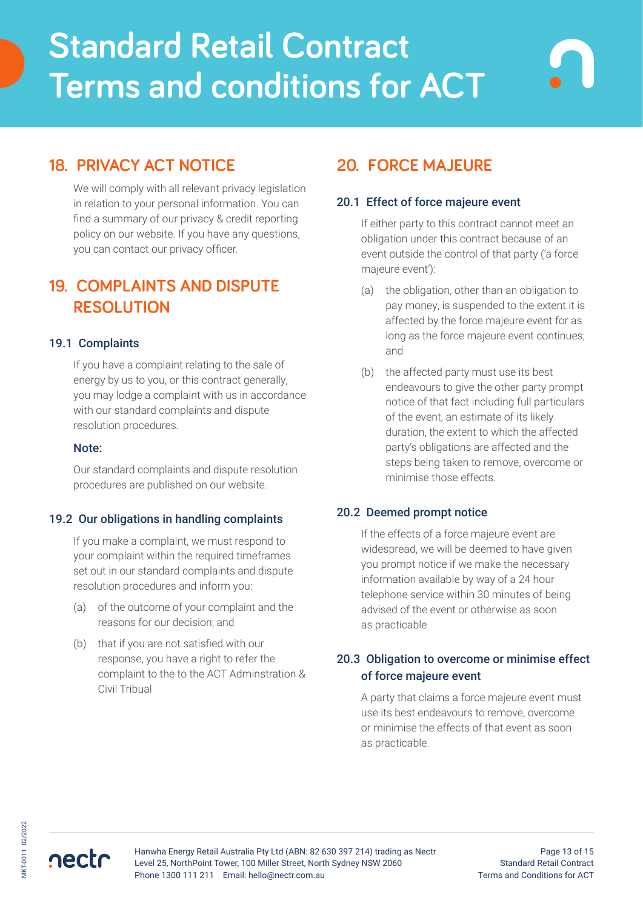# **18. PRIVACY ACT NOTICE**

We will comply with all relevant privacy legislation in relation to your personal information. You can find a summary of our privacy & credit reporting policy on our website. If you have any questions, you can contact our privacy officer.

# **19. COMPLAINTS AND DISPUTE RESOLUTION**

#### 19.1 Complaints

If you have a complaint relating to the sale of energy by us to you, or this contract generally, you may lodge a complaint with us in accordance with our standard complaints and dispute resolution procedures.

#### Note:

Our standard complaints and dispute resolution procedures are published on our website.

#### 19.2 Our obligations in handling complaints

If you make a complaint, we must respond to your complaint within the required timeframes set out in our standard complaints and dispute resolution procedures and inform you:

- (a) of the outcome of your complaint and the reasons for our decision; and
- (b) that if you are not satisfied with our response, you have a right to refer the complaint to the to the ACT Adminstration & Civil Tribual

# **20. FORCE MAJEURE**

#### 20.1 Effect of force majeure event

If either party to this contract cannot meet an obligation under this contract because of an event outside the control of that party ('a force majeure event'):

- (a) the obligation, other than an obligation to pay money, is suspended to the extent it is affected by the force majeure event for as long as the force majeure event continues; and
- (b) the affected party must use its best endeavours to give the other party prompt notice of that fact including full particulars of the event, an estimate of its likely duration, the extent to which the affected party's obligations are affected and the steps being taken to remove, overcome or minimise those effects.

#### 20.2 Deemed prompt notice

If the effects of a force majeure event are widespread, we will be deemed to have given you prompt notice if we make the necessary information available by way of a 24 hour telephone service within 30 minutes of being advised of the event or otherwise as soon as practicable

## 20.3 Obligation to overcome or minimise effect of force majeure event

A party that claims a force majeure event must use its best endeavours to remove, overcome or minimise the effects of that event as soon as practicable.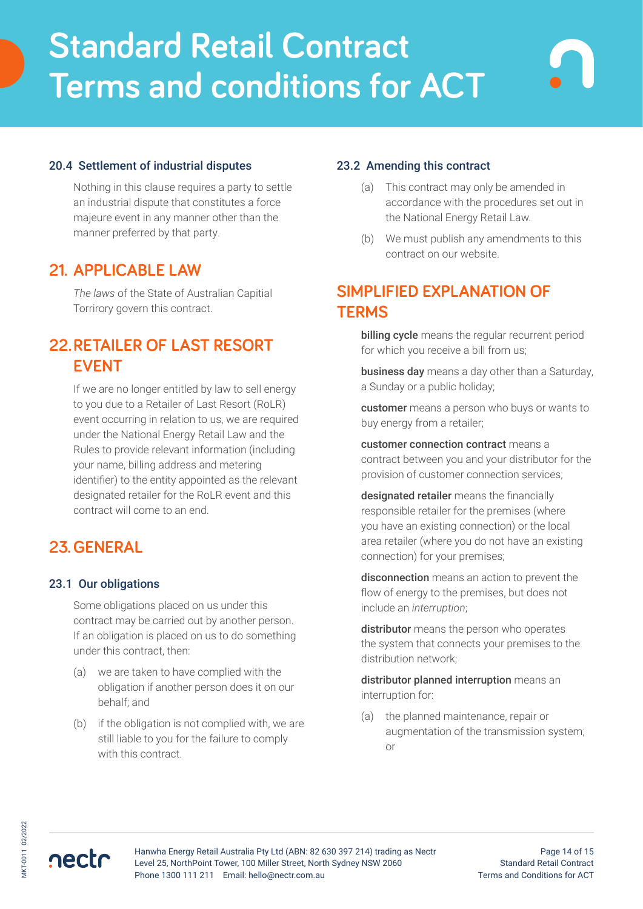## 20.4 Settlement of industrial disputes

Nothing in this clause requires a party to settle an industrial dispute that constitutes a force majeure event in any manner other than the manner preferred by that party.

## **21. APPLICABLE LAW**

*The laws* of the State of Australian Capitial Torrirory govern this contract.

## **22.RETAILER OF LAST RESORT EVENT**

If we are no longer entitled by law to sell energy to you due to a Retailer of Last Resort (RoLR) event occurring in relation to us, we are required under the National Energy Retail Law and the Rules to provide relevant information (including your name, billing address and metering identifier) to the entity appointed as the relevant designated retailer for the RoLR event and this contract will come to an end.

## **23.GENERAL**

#### 23.1 Our obligations

Some obligations placed on us under this contract may be carried out by another person. If an obligation is placed on us to do something under this contract, then:

- (a) we are taken to have complied with the obligation if another person does it on our behalf; and
- (b) if the obligation is not complied with, we are still liable to you for the failure to comply with this contract.

#### 23.2 Amending this contract

- (a) This contract may only be amended in accordance with the procedures set out in the National Energy Retail Law.
- (b) We must publish any amendments to this contract on our website.

## **SIMPLIFIED EXPLANATION OF TERMS**

billing cycle means the regular recurrent period for which you receive a bill from us;

business day means a day other than a Saturday, a Sunday or a public holiday;

customer means a person who buys or wants to buy energy from a retailer;

customer connection contract means a contract between you and your distributor for the provision of customer connection services;

designated retailer means the financially responsible retailer for the premises (where you have an existing connection) or the local area retailer (where you do not have an existing connection) for your premises;

disconnection means an action to prevent the flow of energy to the premises, but does not include an *interruption*;

distributor means the person who operates the system that connects your premises to the distribution network;

distributor planned interruption means an interruption for:

(a) the planned maintenance, repair or augmentation of the transmission system; or